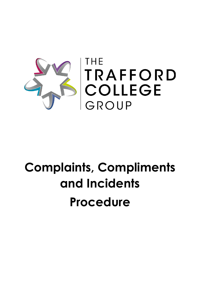

# **Complaints, Compliments and Incidents Procedure**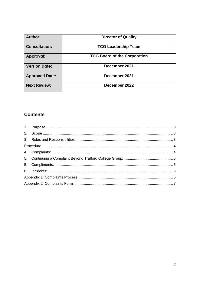| Author:               | <b>Director of Quality</b>          |
|-----------------------|-------------------------------------|
| <b>Consultation:</b>  | <b>TCG Leadership Team</b>          |
| Approval:             | <b>TCG Board of the Corporation</b> |
| <b>Version Date:</b>  | December 2021                       |
| <b>Approved Date:</b> | December 2021                       |
| <b>Next Review:</b>   | December 2022                       |

# **Contents**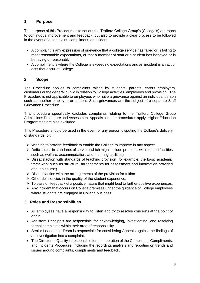## <span id="page-2-0"></span>**1. Purpose**

The purpose of this Procedure is to set out the Trafford College Group's (College's) approach to continuous improvement and feedback, but also to provide a clear process to be followed in the event of a complaint, compliment, or incident.

- A complaint is any expression of grievance that a college service has failed or is failing to meet reasonable expectations, or that a member of staff or a student has behaved or is behaving unreasonably.
- A compliment is where the College is exceeding expectations and an incident is an act or acts that occur at College.

#### <span id="page-2-1"></span>**2. Scope**

The Procedure applies to complaints raised by students, parents, carers employers, customers or the general public in relation to College activities, employees and provision. The Procedure is not applicable to employees who have a grievance against an individual person such as another employee or student. Such grievances are the subject of a separate Staff Grievance Procedure.

This procedure specifically excludes complaints relating to the Trafford College Group Admissions Procedure and Assessment Appeals as other procedures apply. Higher Education Programmes are also excluded.

This Procedure should be used in the event of any person disputing the College's delivery of standards; or:

- ➢ Wishing to provide feedback to enable the College to improve in any aspect.
- $\triangleright$  Deficiencies in standards of service (which might include problems with support facilities such as welfare, accommodation, and teaching facilities).
- $\triangleright$  Dissatisfaction with standards of teaching provision (for example, the basic academic framework such as structure, arrangements for assessment and information provided about a course).
- $\triangleright$  Dissatisfaction with the arrangements of the provision for tuition.
- $\triangleright$  Other deficiencies in the quality of the student experience.
- ➢ To pass on feedback of a positive nature that might lead to further positive experiences.
- ➢ Any incident that occurs on College premises under the guidance of College employees where students are engaged in College business.

## <span id="page-2-2"></span>**3. Roles and Responsibilities**

- All employees have a responsibility to listen and try to resolve concerns at the point of origin.
- Assistant Principals are responsible for acknowledging, investigating, and resolving formal complaints within their area of responsibility.
- Senior Leadership Team is responsible for considering Appeals against the findings of an investigation into a complaint.
- The Director of Quality is responsible for the operation of the Complaints, Compliments, and Incidents Procedure, including the recording, analysis and reporting on trends and issues around complaints, compliments and feedback.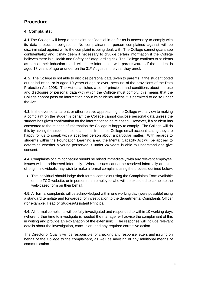# <span id="page-3-0"></span>**Procedure**

# <span id="page-3-1"></span>**4. Complaints:**

**4.1** The College will keep a complaint confidential in as far as is necessary to comply with its data protection obligations. No complainant or person complained against will be discriminated against while the complaint is being dealt with. The College cannot guarantee confidentiality and it may deem it necessary to divulge certain information if the College believes there is a Health and Safety or Safeguarding risk. The College confirms to students as part of their induction that it will share information with parents/carers if the student is aged 18 years of age or under on the 31<sup>st</sup> August in the year they enrol.

**4. 2.** The College is not able to disclose personal data (even to parents) if the student opted out at induction, or is aged 19 years of age or over, because of the provisions of the Data Protection Act 1998. The Act establishes a set of principles and conditions about the use and disclosure of personal data with which the College must comply; this means that the College cannot pass on information about its students unless it is permitted to do so under the Act.

**4.3.** In the event of a parent, or other relative approaching the College with a view to making a complaint on the student's behalf, the College cannot disclose personal data unless the student has given confirmation for the information to be released. However, if a student has consented to the release of information the College is happy to comply. The College will do this by asking the student to send an email from their College email account stating they are happy for us to speak with a specified person about a particular matter. With regards to students within the Foundation Learning area, the Mental Capacity Act will be applied to determine whether a young person/adult under 24 years is able to understand and give consent.

**4.4.** Complaints of a minor nature should be raised immediately with any relevant employee. Issues will be addressed informally. Where issues cannot be resolved informally at pointof-origin, individuals may wish to make a formal complaint using the process outlined below:

• The individual should lodge their formal complaint using the Complaints Form available on the TCG website, or in person to an employee who will be expected to complete the web-based form on their behalf.

**4.5.** All formal complaints will be acknowledged within one working day (were possible) using a standard template and forwarded for investigation to the departmental Complaints Officer (for example, Head of Studies/Assistant Principal).

**4.6.** All formal complaints will be fully investigated and responded to within 10 working days (where further time to investigate is needed the manager will advise the complainant of this in writing and provide an explanation of the extension). The response will include relevant details about the investigation, conclusion, and any required corrective action.

The Director of Quality will be responsible for checking any response letters and issuing on behalf of the College to the complainant, as well as advising of any additional means of communication.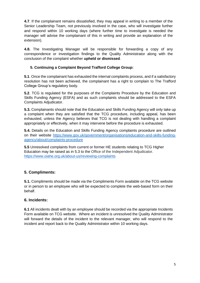**4.7**. If the complainant remains dissatisfied, they may appeal in writing to a member of the Senior Leadership Team, not previously involved in the case, who will investigate further and respond within 10 working days (where further time to investigate is needed the manager will advise the complainant of this in writing and provide an explanation of the extension).

**4.8.** The Investigating Manager will be responsible for forwarding a copy of any correspondence or investigation findings to the Quality Administrator along with the conclusion of the complaint whether **upheld or dismissed**.

#### <span id="page-4-0"></span>**5. Continuing a Complaint Beyond Trafford College Group:**

**5.1**. Once the complainant has exhausted the internal complaints process, and if a satisfactory resolution has not been achieved, the complainant has a right to complain to The Trafford College Group's regulatory body.

**5.2**. TCG is regulated for the purposes of the Complaints Procedure by the Education and Skills Funding Agency (ESFA) and as such complaints should be addressed to the ESFA Complaints Adjudicator.

**5.3.** Complainants should note that the Education and Skills Funding Agency will only take up a complaint when they are satisfied that the TCG procedure, including appeal, has been exhausted, unless the Agency believes that TCG is not dealing with handling a complaint appropriately or effectively, when it may intervene before the procedure is exhausted.

**5.4.** Details on the Education and Skills Funding Agency complaints procedure are outlined on their website [https://www.gov.uk/government/organisations/education-and-skills-funding](https://www.gov.uk/government/organisations/education-and-skills-funding-agency/about/complaints-procedure)[agency/about/complaints-procedure](https://www.gov.uk/government/organisations/education-and-skills-funding-agency/about/complaints-procedure)

**5.5** Unresolved complaints from current or former HE students relating to TCG Higher Education may be raised as in 5.3 to the Office of the Independent Adjudicator. [https://www.oiahe.org.uk/about-us/reviewing-complaints](https://www.oiahe.org.uk/about-us/reviewing-complaints/)

## <span id="page-4-1"></span>**5. Compliments:**

**5.1.** Compliments should be made via the Compliments Form available on the TCG website or in person to an employee who will be expected to complete the web-based form on their behalf.

#### <span id="page-4-2"></span>**6. Incidents:**

**6.1** All incidents dealt with by an employee should be recorded via the appropriate Incidents Form available on TCG website. Where an incident is unresolved the Quality Administrator will forward the details of the incident to the relevant manager, who will respond to the incident and report back to the Quality Administrator within 10 working days.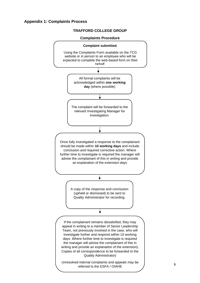#### <span id="page-5-0"></span>**Appendix 1: Complaints Process**

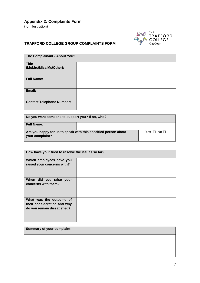<span id="page-6-0"></span>**Appendix 2: Complaints Form**

(for illustration)



# **TRAFFORD COLLEGE GROUP COMPLAINTS FORM**

| The Complainant - About You?            |  |  |
|-----------------------------------------|--|--|
| <b>Title</b><br>(Mr/Mrs/Miss/Ms/Other): |  |  |
| <b>Full Name:</b>                       |  |  |
| Email:                                  |  |  |
| <b>Contact Telephone Number:</b>        |  |  |

| Do you want someone to support you? If so, who?                                   |  |                      |
|-----------------------------------------------------------------------------------|--|----------------------|
| <b>Full Name:</b>                                                                 |  |                      |
| Are you happy for us to speak with this specified person about<br>your complaint? |  | Yes $\Box$ No $\Box$ |

| How have your tried to resolve the issues so far?                                     |  |  |
|---------------------------------------------------------------------------------------|--|--|
| Which employees have you<br>raised your concerns with?                                |  |  |
| When did you raise your<br>concerns with them?                                        |  |  |
| What was the outcome of<br>their consideration and why<br>do you remain dissatisfied? |  |  |

| <b>Summary of your complaint:</b> |  |  |
|-----------------------------------|--|--|
|                                   |  |  |
|                                   |  |  |
|                                   |  |  |